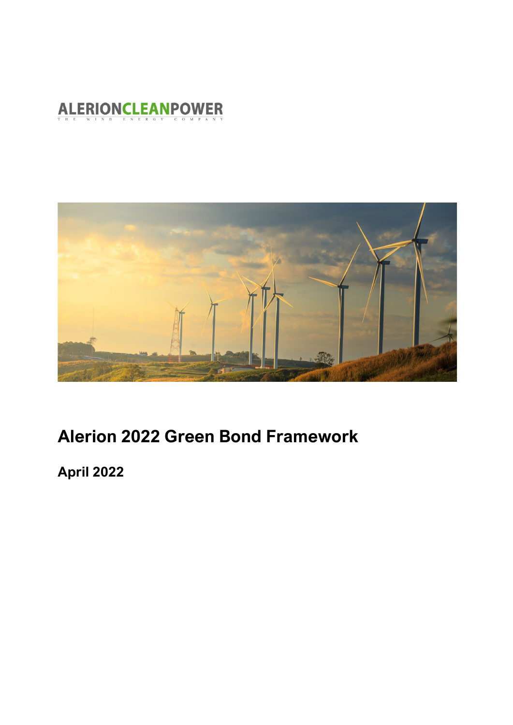### **ALERIONCLEANPOWER**



## **Alerion 2022 Green Bond Framework**

**April 2022**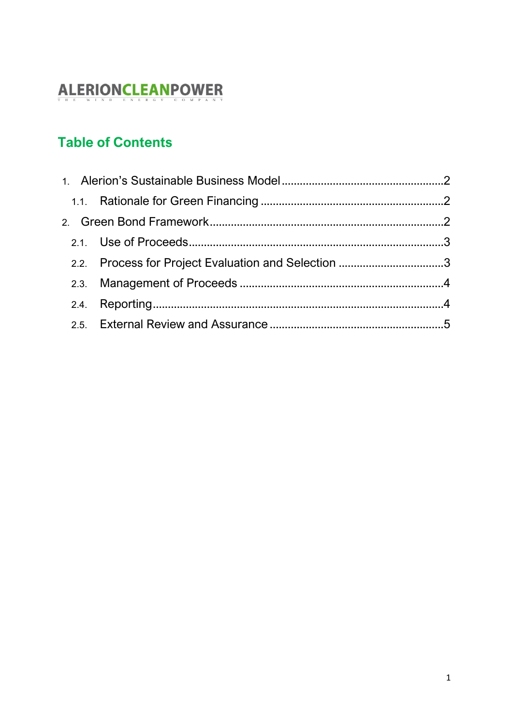# ALERIONCLEANPOWER

### **Table of Contents**

| 2.2. Process for Project Evaluation and Selection 3 |  |
|-----------------------------------------------------|--|
|                                                     |  |
|                                                     |  |
|                                                     |  |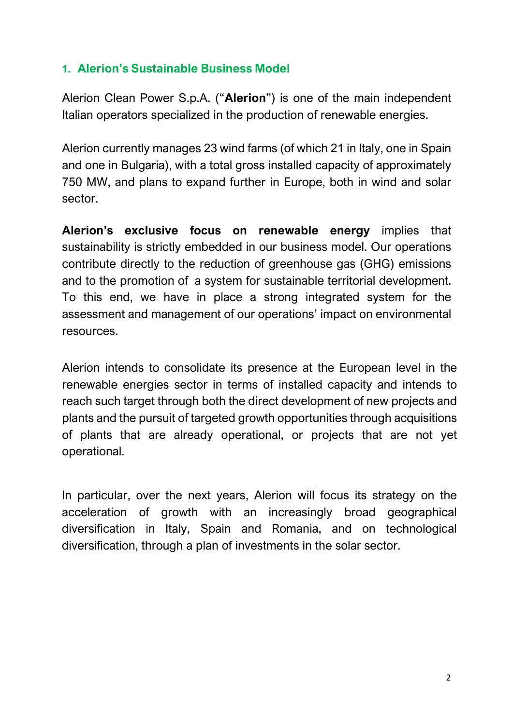#### <span id="page-2-0"></span>**1. Alerion's Sustainable Business Model**

Alerion Clean Power S.p.A. ("**Alerion**") is one of the main independent Italian operators specialized in the production of renewable energies.

Alerion currently manages 23 wind farms (of which 21 in Italy, one in Spain and one in Bulgaria), with a total gross installed capacity of approximately 750 MW, and plans to expand further in Europe, both in wind and solar sector.

**Alerion's exclusive focus on renewable energy** implies that sustainability is strictly embedded in our business model. Our operations contribute directly to the reduction of greenhouse gas (GHG) emissions and to the promotion of a system for sustainable territorial development. To this end, we have in place a strong integrated system for the assessment and management of our operations' impact on environmental resources.

Alerion intends to consolidate its presence at the European level in the renewable energies sector in terms of installed capacity and intends to reach such target through both the direct development of new projects and plants and the pursuit of targeted growth opportunities through acquisitions of plants that are already operational, or projects that are not yet operational.

In particular, over the next years, Alerion will focus its strategy on the acceleration of growth with an increasingly broad geographical diversification in Italy, Spain and Romania, and on technological diversification, through a plan of investments in the solar sector.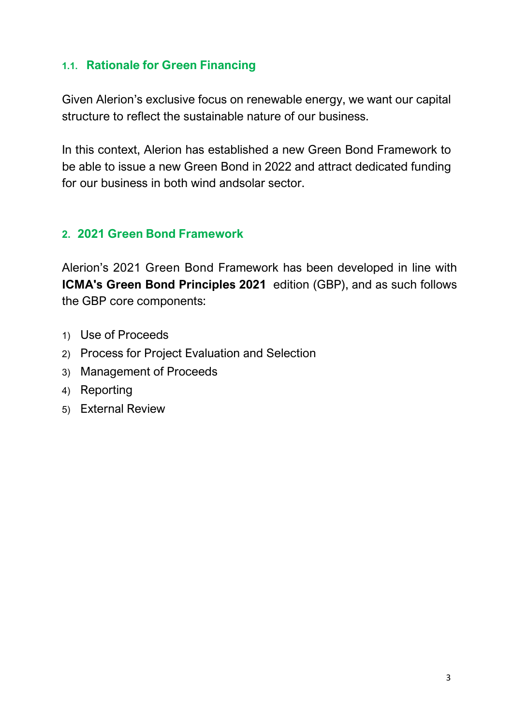#### <span id="page-3-0"></span>**1.1. Rationale for Green Financing**

Given Alerion's exclusive focus on renewable energy, we want our capital structure to reflect the sustainable nature of our business.

In this context, Alerion has established a new Green Bond Framework to be able to issue a new Green Bond in 2022 and attract dedicated funding for our business in both wind andsolar sector.

#### <span id="page-3-1"></span>**2. 2021 Green Bond Framework**

Alerion's 2021 Green Bond Framework has been developed in line with **ICMA's Green Bond Principles 2021** edition (GBP), and as such follows the GBP core components:

- 1) Use of Proceeds
- 2) Process for Project Evaluation and Selection
- 3) Management of Proceeds
- 4) Reporting
- 5) External Review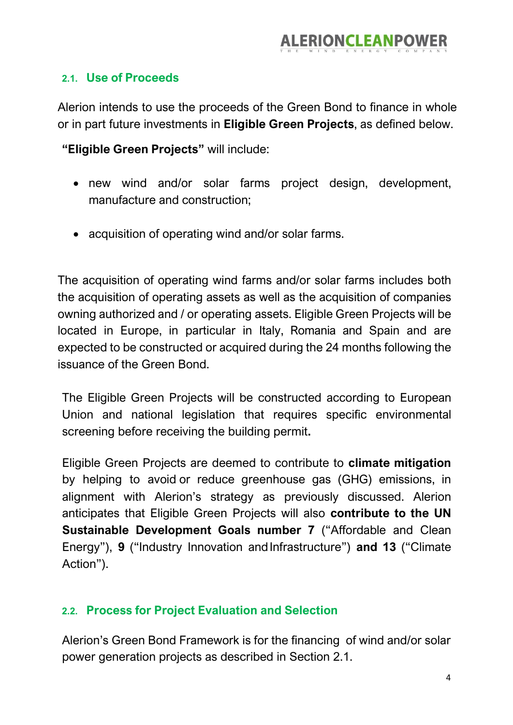#### <span id="page-4-0"></span>**2.1. Use of Proceeds**

Alerion intends to use the proceeds of the Green Bond to finance in whole or in part future investments in **Eligible Green Projects**, as defined below.

**"Eligible Green Projects"** will include:

- new wind and/or solar farms project design, development, manufacture and construction;
- acquisition of operating wind and/or solar farms.

The acquisition of operating wind farms and/or solar farms includes both the acquisition of operating assets as well as the acquisition of companies owning authorized and / or operating assets. Eligible Green Projects will be located in Europe, in particular in Italy, Romania and Spain and are expected to be constructed or acquired during the 24 months following the issuance of the Green Bond.

The Eligible Green Projects will be constructed according to European Union and national legislation that requires specific environmental screening before receiving the building permit**.**

Eligible Green Projects are deemed to contribute to **climate mitigation** by helping to avoid or reduce greenhouse gas (GHG) emissions, in alignment with Alerion's strategy as previously discussed. Alerion anticipates that Eligible Green Projects will also **contribute to the UN Sustainable Development Goals number 7** ("Affordable and Clean Energy"), **9** ("Industry Innovation andInfrastructure") **and 13** ("Climate Action").

#### <span id="page-4-1"></span>**2.2. Process for Project Evaluation and Selection**

Alerion's Green Bond Framework is for the financing of wind and/or solar power generation projects as described in Section 2.1.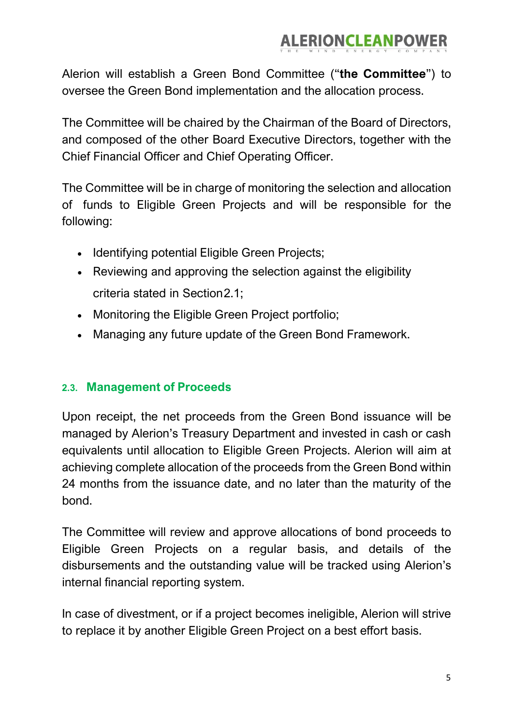Alerion will establish a Green Bond Committee ("**the Committee**") to oversee the Green Bond implementation and the allocation process.

The Committee will be chaired by the Chairman of the Board of Directors, and composed of the other Board Executive Directors, together with the Chief Financial Officer and Chief Operating Officer.

The Committee will be in charge of monitoring the selection and allocation of funds to Eligible Green Projects and will be responsible for the following:

- Identifying potential Eligible Green Projects;
- Reviewing and approving the selection against the eligibility criteria stated in Section2.1;
- Monitoring the Eligible Green Project portfolio;
- Managing any future update of the Green Bond Framework.

#### <span id="page-5-0"></span>**2.3. Management of Proceeds**

Upon receipt, the net proceeds from the Green Bond issuance will be managed by Alerion's Treasury Department and invested in cash or cash equivalents until allocation to Eligible Green Projects. Alerion will aim at achieving complete allocation of the proceeds from the Green Bond within 24 months from the issuance date, and no later than the maturity of the bond.

The Committee will review and approve allocations of bond proceeds to Eligible Green Projects on a regular basis, and details of the disbursements and the outstanding value will be tracked using Alerion's internal financial reporting system.

In case of divestment, or if a project becomes ineligible, Alerion will strive to replace it by another Eligible Green Project on a best effort basis.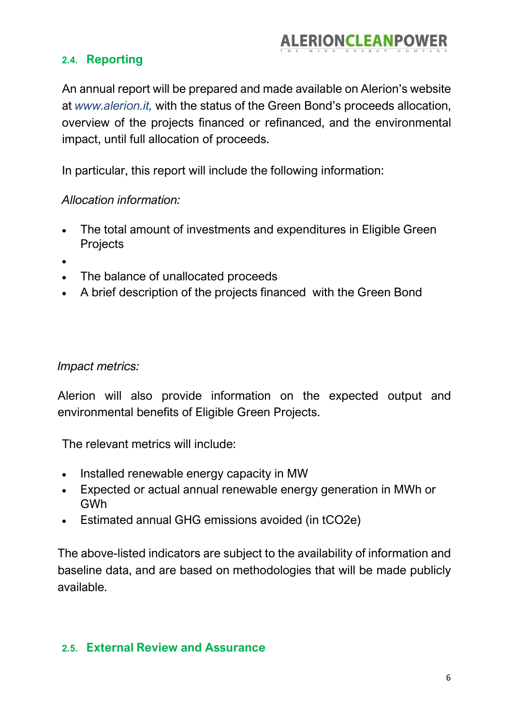#### <span id="page-6-0"></span>**2.4. Reporting**

An annual report will be prepared and made available on Alerion's website at *[www.alerion.it,](http://www.alerion.it/)* with the status of the Green Bond's proceeds allocation, overview of the projects financed or refinanced, and the environmental impact, until full allocation of proceeds.

In particular, this report will include the following information:

#### *Allocation information:*

- The total amount of investments and expenditures in Eligible Green **Projects**
- •
- The balance of unallocated proceeds
- A brief description of the projects financed with the Green Bond

#### *Impact metrics:*

Alerion will also provide information on the expected output and environmental benefits of Eligible Green Projects.

The relevant metrics will include:

- Installed renewable energy capacity in MW
- Expected or actual annual renewable energy generation in MWh or GWh
- Estimated annual GHG emissions avoided (in tCO2e)

The above-listed indicators are subject to the availability of information and baseline data, and are based on methodologies that will be made publicly available.

#### <span id="page-6-1"></span>**2.5. External Review and Assurance**